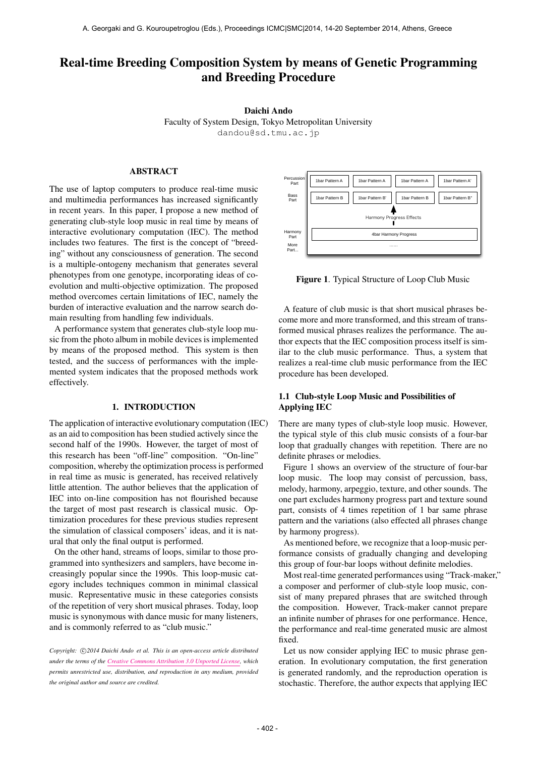# Real-time Breeding Composition System by means of Genetic Programming and Breeding Procedure

Daichi Ando

Faculty of System Design, Tokyo Metropolitan University [dandou@sd.tmu.ac.jp](mailto:dandou@sd.tmu.ac.jp)

# ABSTRACT

The use of laptop computers to produce real-time music and multimedia performances has increased significantly in recent years. In this paper, I propose a new method of generating club-style loop music in real time by means of interactive evolutionary computation (IEC). The method includes two features. The first is the concept of "breeding" without any consciousness of generation. The second is a multiple-ontogeny mechanism that generates several phenotypes from one genotype, incorporating ideas of coevolution and multi-objective optimization. The proposed method overcomes certain limitations of IEC, namely the burden of interactive evaluation and the narrow search domain resulting from handling few individuals.

A performance system that generates club-style loop music from the photo album in mobile devices is implemented by means of the proposed method. This system is then tested, and the success of performances with the implemented system indicates that the proposed methods work effectively.

# 1. INTRODUCTION

The application of interactive evolutionary computation (IEC) as an aid to composition has been studied actively since the second half of the 1990s. However, the target of most of this research has been "off-line" composition. "On-line" composition, whereby the optimization process is performed in real time as music is generated, has received relatively little attention. The author believes that the application of IEC into on-line composition has not flourished because the target of most past research is classical music. Optimization procedures for these previous studies represent the simulation of classical composers' ideas, and it is natural that only the final output is performed.

On the other hand, streams of loops, similar to those programmed into synthesizers and samplers, have become increasingly popular since the 1990s. This loop-music category includes techniques common in minimal classical music. Representative music in these categories consists of the repetition of very short musical phrases. Today, loop music is synonymous with dance music for many listeners, and is commonly referred to as "club music."

Copyright:  $\bigcirc$ 2014 Daichi Ando et al. This is an open-access article distributed *under the terms of the [Creative Commons Attribution 3.0 Unported License,](http://creativecommons.org/licenses/by/3.0/) which permits unrestricted use, distribution, and reproduction in any medium, provided the original author and source are credited.*



Figure 1. Typical Structure of Loop Club Music

A feature of club music is that short musical phrases become more and more transformed, and this stream of transformed musical phrases realizes the performance. The author expects that the IEC composition process itself is similar to the club music performance. Thus, a system that realizes a real-time club music performance from the IEC procedure has been developed.

# 1.1 Club-style Loop Music and Possibilities of Applying IEC

There are many types of club-style loop music. However, the typical style of this club music consists of a four-bar loop that gradually changes with repetition. There are no definite phrases or melodies.

Figure 1 shows an overview of the structure of four-bar loop music. The loop may consist of percussion, bass, melody, harmony, arpeggio, texture, and other sounds. The one part excludes harmony progress part and texture sound part, consists of 4 times repetition of 1 bar same phrase pattern and the variations (also effected all phrases change by harmony progress).

As mentioned before, we recognize that a loop-music performance consists of gradually changing and developing this group of four-bar loops without definite melodies.

Most real-time generated performances using "Track-maker," a composer and performer of club-style loop music, consist of many prepared phrases that are switched through the composition. However, Track-maker cannot prepare an infinite number of phrases for one performance. Hence, the performance and real-time generated music are almost fixed.

Let us now consider applying IEC to music phrase generation. In evolutionary computation, the first generation is generated randomly, and the reproduction operation is stochastic. Therefore, the author expects that applying IEC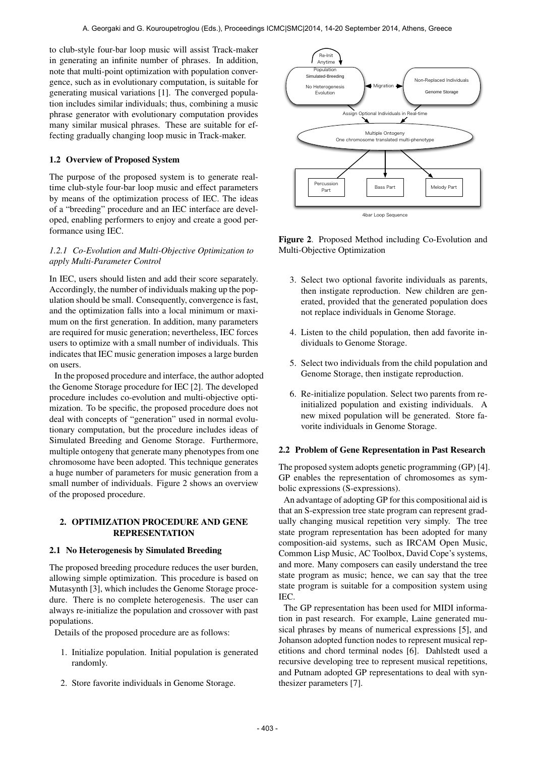to club-style four-bar loop music will assist Track-maker in generating an infinite number of phrases. In addition, note that multi-point optimization with population convergence, such as in evolutionary computation, is suitable for generating musical variations [1]. The converged population includes similar individuals; thus, combining a music phrase generator with evolutionary computation provides many similar musical phrases. These are suitable for effecting gradually changing loop music in Track-maker.

# 1.2 Overview of Proposed System

The purpose of the proposed system is to generate realtime club-style four-bar loop music and effect parameters by means of the optimization process of IEC. The ideas of a "breeding" procedure and an IEC interface are developed, enabling performers to enjoy and create a good performance using IEC.

# *1.2.1 Co-Evolution and Multi-Objective Optimization to apply Multi-Parameter Control*

In IEC, users should listen and add their score separately. Accordingly, the number of individuals making up the population should be small. Consequently, convergence is fast, and the optimization falls into a local minimum or maximum on the first generation. In addition, many parameters are required for music generation; nevertheless, IEC forces users to optimize with a small number of individuals. This indicates that IEC music generation imposes a large burden on users.

In the proposed procedure and interface, the author adopted the Genome Storage procedure for IEC [2]. The developed procedure includes co-evolution and multi-objective optimization. To be specific, the proposed procedure does not deal with concepts of "generation" used in normal evolutionary computation, but the procedure includes ideas of Simulated Breeding and Genome Storage. Furthermore, multiple ontogeny that generate many phenotypes from one chromosome have been adopted. This technique generates a huge number of parameters for music generation from a small number of individuals. Figure 2 shows an overview of the proposed procedure.

# 2. OPTIMIZATION PROCEDURE AND GENE REPRESENTATION

# 2.1 No Heterogenesis by Simulated Breeding

The proposed breeding procedure reduces the user burden, allowing simple optimization. This procedure is based on Mutasynth [3], which includes the Genome Storage procedure. There is no complete heterogenesis. The user can always re-initialize the population and crossover with past populations.

Details of the proposed procedure are as follows:

- 1. Initialize population. Initial population is generated randomly.
- 2. Store favorite individuals in Genome Storage.



Figure 2. Proposed Method including Co-Evolution and Multi-Objective Optimization

- 3. Select two optional favorite individuals as parents, then instigate reproduction. New children are generated, provided that the generated population does not replace individuals in Genome Storage.
- 4. Listen to the child population, then add favorite individuals to Genome Storage.
- 5. Select two individuals from the child population and Genome Storage, then instigate reproduction.
- 6. Re-initialize population. Select two parents from reinitialized population and existing individuals. A new mixed population will be generated. Store favorite individuals in Genome Storage.

# 2.2 Problem of Gene Representation in Past Research

The proposed system adopts genetic programming (GP) [4]. GP enables the representation of chromosomes as symbolic expressions (S-expressions).

An advantage of adopting GP for this compositional aid is that an S-expression tree state program can represent gradually changing musical repetition very simply. The tree state program representation has been adopted for many composition-aid systems, such as IRCAM Open Music, Common Lisp Music, AC Toolbox, David Cope's systems, and more. Many composers can easily understand the tree state program as music; hence, we can say that the tree state program is suitable for a composition system using IEC.

The GP representation has been used for MIDI information in past research. For example, Laine generated musical phrases by means of numerical expressions [5], and Johanson adopted function nodes to represent musical repetitions and chord terminal nodes [6]. Dahlstedt used a recursive developing tree to represent musical repetitions, and Putnam adopted GP representations to deal with synthesizer parameters [7].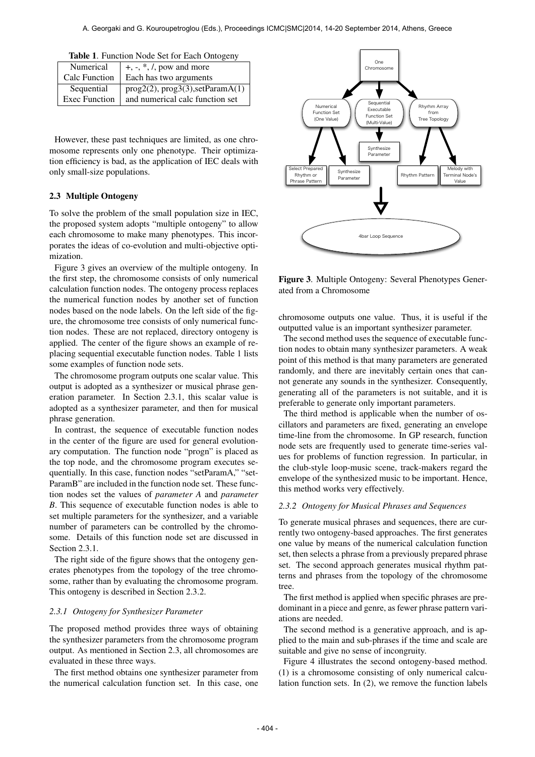| Numerical            | $+, \frac{1}{2}, *, \frac{1}{2}$ , pow and more |
|----------------------|-------------------------------------------------|
| Calc Function        | Each has two arguments                          |
| Sequential           | prog2(2), prog3(3), setParamA(1)                |
| <b>Exec Function</b> | and numerical calc function set                 |

|  |  |  |  |  | Table 1. Function Node Set for Each Ontogeny |
|--|--|--|--|--|----------------------------------------------|
|--|--|--|--|--|----------------------------------------------|

However, these past techniques are limited, as one chromosome represents only one phenotype. Their optimization efficiency is bad, as the application of IEC deals with only small-size populations.

# 2.3 Multiple Ontogeny

To solve the problem of the small population size in IEC, the proposed system adopts "multiple ontogeny" to allow each chromosome to make many phenotypes. This incorporates the ideas of co-evolution and multi-objective optimization.

Figure 3 gives an overview of the multiple ontogeny. In the first step, the chromosome consists of only numerical calculation function nodes. The ontogeny process replaces the numerical function nodes by another set of function nodes based on the node labels. On the left side of the figure, the chromosome tree consists of only numerical function nodes. These are not replaced, directory ontogeny is applied. The center of the figure shows an example of replacing sequential executable function nodes. Table 1 lists some examples of function node sets.

The chromosome program outputs one scalar value. This output is adopted as a synthesizer or musical phrase generation parameter. In Section 2.3.1, this scalar value is adopted as a synthesizer parameter, and then for musical phrase generation.

In contrast, the sequence of executable function nodes in the center of the figure are used for general evolutionary computation. The function node "progn" is placed as the top node, and the chromosome program executes sequentially. In this case, function nodes "setParamA," "set-ParamB" are included in the function node set. These function nodes set the values of *parameter A* and *parameter B*. This sequence of executable function nodes is able to set multiple parameters for the synthesizer, and a variable number of parameters can be controlled by the chromosome. Details of this function node set are discussed in Section 2.3.1.

The right side of the figure shows that the ontogeny generates phenotypes from the topology of the tree chromosome, rather than by evaluating the chromosome program. This ontogeny is described in Section 2.3.2.

#### *2.3.1 Ontogeny for Synthesizer Parameter*

The proposed method provides three ways of obtaining the synthesizer parameters from the chromosome program output. As mentioned in Section 2.3, all chromosomes are evaluated in these three ways.

The first method obtains one synthesizer parameter from the numerical calculation function set. In this case, one



Figure 3. Multiple Ontogeny: Several Phenotypes Generated from a Chromosome

chromosome outputs one value. Thus, it is useful if the outputted value is an important synthesizer parameter.

The second method uses the sequence of executable function nodes to obtain many synthesizer parameters. A weak point of this method is that many parameters are generated randomly, and there are inevitably certain ones that cannot generate any sounds in the synthesizer. Consequently, generating all of the parameters is not suitable, and it is preferable to generate only important parameters.

The third method is applicable when the number of oscillators and parameters are fixed, generating an envelope time-line from the chromosome. In GP research, function node sets are frequently used to generate time-series values for problems of function regression. In particular, in the club-style loop-music scene, track-makers regard the envelope of the synthesized music to be important. Hence, this method works very effectively.

### *2.3.2 Ontogeny for Musical Phrases and Sequences*

To generate musical phrases and sequences, there are currently two ontogeny-based approaches. The first generates one value by means of the numerical calculation function set, then selects a phrase from a previously prepared phrase set. The second approach generates musical rhythm patterns and phrases from the topology of the chromosome tree.

The first method is applied when specific phrases are predominant in a piece and genre, as fewer phrase pattern variations are needed.

The second method is a generative approach, and is applied to the main and sub-phrases if the time and scale are suitable and give no sense of incongruity.

Figure 4 illustrates the second ontogeny-based method. (1) is a chromosome consisting of only numerical calculation function sets. In (2), we remove the function labels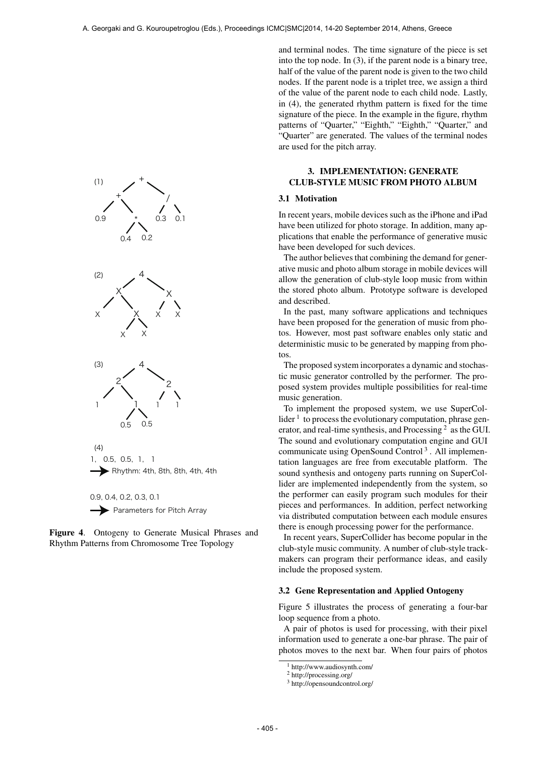

Figure 4. Ontogeny to Generate Musical Phrases and Rhythm Patterns from Chromosome Tree Topology

and terminal nodes. The time signature of the piece is set into the top node. In (3), if the parent node is a binary tree, half of the value of the parent node is given to the two child nodes. If the parent node is a triplet tree, we assign a third of the value of the parent node to each child node. Lastly, in (4), the generated rhythm pattern is fixed for the time signature of the piece. In the example in the figure, rhythm patterns of "Quarter," "Eighth," "Eighth," "Quarter," and "Quarter" are generated. The values of the terminal nodes are used for the pitch array.

# 3. IMPLEMENTATION: GENERATE CLUB-STYLE MUSIC FROM PHOTO ALBUM

#### 3.1 Motivation

In recent years, mobile devices such as the iPhone and iPad have been utilized for photo storage. In addition, many applications that enable the performance of generative music have been developed for such devices.

The author believes that combining the demand for generative music and photo album storage in mobile devices will allow the generation of club-style loop music from within the stored photo album. Prototype software is developed and described.

In the past, many software applications and techniques have been proposed for the generation of music from photos. However, most past software enables only static and deterministic music to be generated by mapping from photos.

The proposed system incorporates a dynamic and stochastic music generator controlled by the performer. The proposed system provides multiple possibilities for real-time music generation.

To implement the proposed system, we use SuperCollider  $<sup>1</sup>$  to process the evolutionary computation, phrase gen-</sup> erator, and real-time synthesis, and Processing<sup>2</sup> as the GUI. The sound and evolutionary computation engine and GUI communicate using OpenSound Control<sup>3</sup>. All implementation languages are free from executable platform. The sound synthesis and ontogeny parts running on SuperCollider are implemented independently from the system, so the performer can easily program such modules for their pieces and performances. In addition, perfect networking via distributed computation between each module ensures there is enough processing power for the performance.

In recent years, SuperCollider has become popular in the club-style music community. A number of club-style trackmakers can program their performance ideas, and easily include the proposed system.

### 3.2 Gene Representation and Applied Ontogeny

Figure 5 illustrates the process of generating a four-bar loop sequence from a photo.

A pair of photos is used for processing, with their pixel information used to generate a one-bar phrase. The pair of photos moves to the next bar. When four pairs of photos

<sup>1</sup> http://www.audiosynth.com/

<sup>2</sup> http://processing.org/

<sup>3</sup> http://opensoundcontrol.org/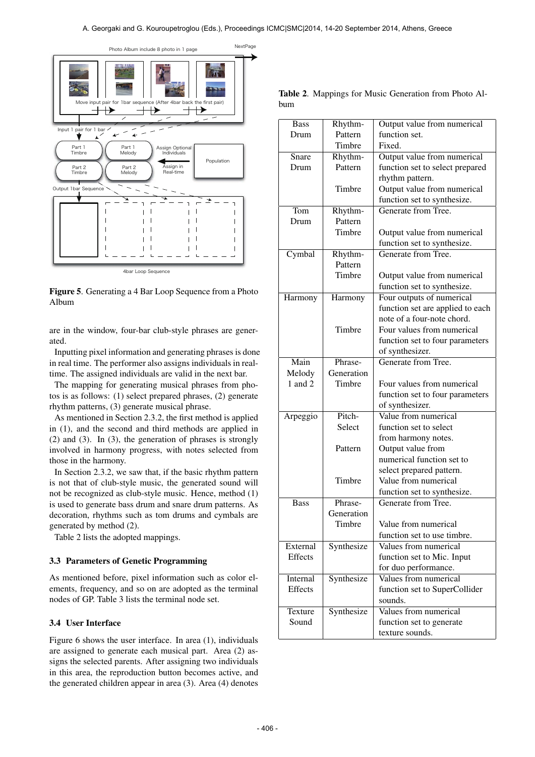

Figure 5. Generating a 4 Bar Loop Sequence from a Photo Album

are in the window, four-bar club-style phrases are generated.

Inputting pixel information and generating phrases is done in real time. The performer also assigns individuals in realtime. The assigned individuals are valid in the next bar.

The mapping for generating musical phrases from photos is as follows: (1) select prepared phrases, (2) generate rhythm patterns, (3) generate musical phrase.

As mentioned in Section 2.3.2, the first method is applied in (1), and the second and third methods are applied in (2) and (3). In (3), the generation of phrases is strongly involved in harmony progress, with notes selected from those in the harmony.

In Section 2.3.2, we saw that, if the basic rhythm pattern is not that of club-style music, the generated sound will not be recognized as club-style music. Hence, method (1) is used to generate bass drum and snare drum patterns. As decoration, rhythms such as tom drums and cymbals are generated by method (2).

Table 2 lists the adopted mappings.

# 3.3 Parameters of Genetic Programming

As mentioned before, pixel information such as color elements, frequency, and so on are adopted as the terminal nodes of GP. Table 3 lists the terminal node set.

# 3.4 User Interface

Figure 6 shows the user interface. In area (1), individuals are assigned to generate each musical part. Area (2) assigns the selected parents. After assigning two individuals in this area, the reproduction button becomes active, and the generated children appear in area (3). Area (4) denotes

| <b>Bass</b>      | Rhythm-    | Output value from numerical      |  |
|------------------|------------|----------------------------------|--|
| Drum             | Pattern    | function set.                    |  |
|                  | Timbre     | Fixed.                           |  |
| Snare            | Rhythm-    | Output value from numerical      |  |
| Drum             | Pattern    | function set to select prepared  |  |
|                  |            | rhythm pattern.                  |  |
|                  | Timbre     | Output value from numerical      |  |
|                  |            | function set to synthesize.      |  |
| $\overline{Tom}$ | Rhythm-    | Generate from Tree.              |  |
| Drum             | Pattern    |                                  |  |
|                  | Timbre     | Output value from numerical      |  |
|                  |            | function set to synthesize.      |  |
| Cymbal           | Rhythm-    | Generate from Tree.              |  |
|                  | Pattern    |                                  |  |
|                  | Timbre     |                                  |  |
|                  |            | Output value from numerical      |  |
|                  |            | function set to synthesize.      |  |
| Harmony          | Harmony    | Four outputs of numerical        |  |
|                  |            | function set are applied to each |  |
|                  |            | note of a four-note chord.       |  |
|                  | Timbre     | Four values from numerical       |  |
|                  |            | function set to four parameters  |  |
|                  |            | of synthesizer.                  |  |
| Main             | Phrase-    | Generate from Tree.              |  |
| Melody           | Generation |                                  |  |
| 1 and 2          | Timbre     | Four values from numerical       |  |
|                  |            | function set to four parameters  |  |
|                  |            | of synthesizer.                  |  |
| Arpeggio         | Pitch-     | Value from numerical             |  |
|                  | Select     | function set to select           |  |
|                  |            | from harmony notes.              |  |
|                  | Pattern    | Output value from                |  |
|                  |            | numerical function set to        |  |
|                  |            | select prepared pattern.         |  |
|                  | Timbre     | Value from numerical             |  |
|                  |            | function set to synthesize.      |  |
| <b>Bass</b>      | Phrase-    | Generate from Tree.              |  |
|                  | Generation |                                  |  |
|                  | Timbre     | Value from numerical             |  |
|                  |            | function set to use timbre.      |  |
| External         | Synthesize | Values from numerical            |  |
| <b>Effects</b>   |            | function set to Mic. Input       |  |
|                  |            | for duo performance.             |  |
| Internal         | Synthesize | Values from numerical            |  |
| <b>Effects</b>   |            | function set to SuperCollider    |  |
|                  |            | sounds.                          |  |
| Texture          | Synthesize | Values from numerical            |  |
| Sound            |            | function set to generate         |  |
|                  |            | texture sounds.                  |  |
|                  |            |                                  |  |

Table 2. Mappings for Music Generation from Photo Album